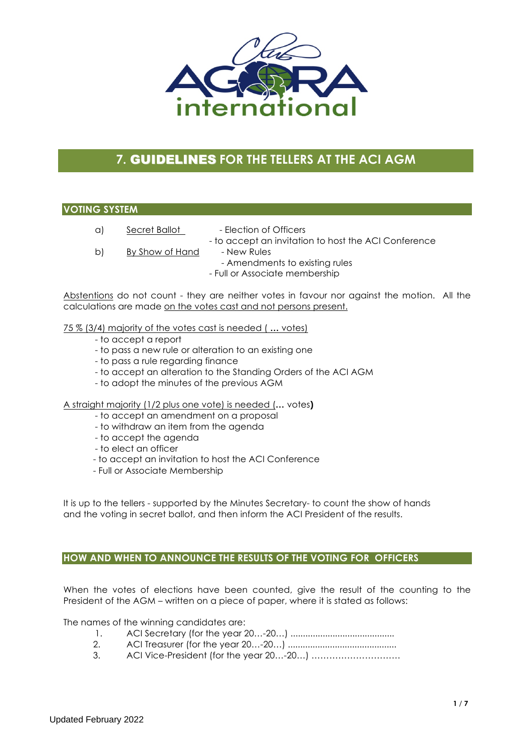

# **7.** GUIDELINES **FOR THE TELLERS AT THE ACI AGM**

#### **VOTING SYSTEM**

- a) Secret Ballot Election of Officers
	- to accept an invitation to host the ACI Conference
- b) By Show of Hand New Rules
	- Amendments to existing rules
		- Full or Associate membership

Abstentions do not count - they are neither votes in favour nor against the motion. All the calculations are made on the votes cast and not persons present.

#### 75 % (3/4) majority of the votes cast is needed ( **…** votes)

- to accept a report
- to pass a new rule or alteration to an existing one
- to pass a rule regarding finance
- to accept an alteration to the Standing Orders of the ACI AGM
- to adopt the minutes of the previous AGM

#### A straight majority (1/2 plus one vote) is needed (**…** votes**)**

- to accept an amendment on a proposal
- to withdraw an item from the agenda
- to accept the agenda
- to elect an officer
- to accept an invitation to host the ACI Conference
- Full or Associate Membership

It is up to the tellers - supported by the Minutes Secretary- to count the show of hands and the voting in secret ballot, and then inform the ACI President of the results.

#### **HOW AND WHEN TO ANNOUNCE THE RESULTS OF THE VOTING FOR OFFICERS**

When the votes of elections have been counted, give the result of the counting to the President of the AGM – written on a piece of paper, where it is stated as follows:

The names of the winning candidates are:

- 1. ACI Secretary (for the year 20…-20…) ..........................................
- 2. ACI Treasurer (for the year 20…-20…) ............................................
- 3. ACI Vice-President (for the year 20…-20…) …………………………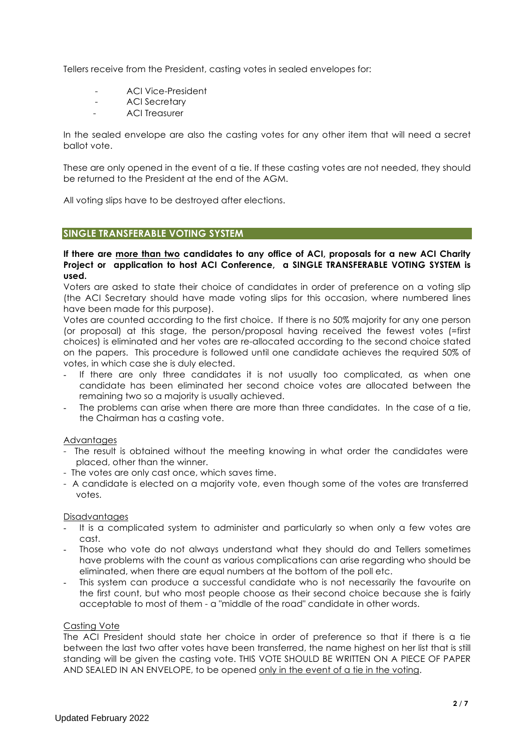Tellers receive from the President, casting votes in sealed envelopes for:

- ACI Vice-President
- ACI Secretary
- ACI Treasurer

In the sealed envelope are also the casting votes for any other item that will need a secret ballot vote.

These are only opened in the event of a tie. If these casting votes are not needed, they should be returned to the President at the end of the AGM.

All voting slips have to be destroyed after elections.

#### **SINGLE TRANSFERABLE VOTING SYSTEM**

#### **If there are more than two candidates to any office of ACI, proposals for a new ACI Charity Project or application to host ACI Conference, a SINGLE TRANSFERABLE VOTING SYSTEM is used.**

Voters are asked to state their choice of candidates in order of preference on a voting slip (the ACI Secretary should have made voting slips for this occasion, where numbered lines have been made for this purpose).

Votes are counted according to the first choice. If there is no 50% majority for any one person (or proposal) at this stage, the person/proposal having received the fewest votes (=first choices) is eliminated and her votes are re-allocated according to the second choice stated on the papers. This procedure is followed until one candidate achieves the required 50% of votes, in which case she is duly elected.

- If there are only three candidates it is not usually too complicated, as when one candidate has been eliminated her second choice votes are allocated between the remaining two so a majority is usually achieved.
- The problems can arise when there are more than three candidates. In the case of a tie, the Chairman has a casting vote.

#### Advantages

- The result is obtained without the meeting knowing in what order the candidates were placed, other than the winner.
- The votes are only cast once, which saves time.
- A candidate is elected on a majority vote, even though some of the votes are transferred votes.

#### **Disadvantages**

- It is a complicated system to administer and particularly so when only a few votes are cast.
- Those who vote do not always understand what they should do and Tellers sometimes have problems with the count as various complications can arise regarding who should be eliminated, when there are equal numbers at the bottom of the poll etc.
- This system can produce a successful candidate who is not necessarily the favourite on the first count, but who most people choose as their second choice because she is fairly acceptable to most of them - a "middle of the road" candidate in other words.

#### Casting Vote

The ACI President should state her choice in order of preference so that if there is a tie between the last two after votes have been transferred, the name highest on her list that is still standing will be given the casting vote. THIS VOTE SHOULD BE WRITTEN ON A PIECE OF PAPER AND SEALED IN AN ENVELOPE, to be opened only in the event of a tie in the voting.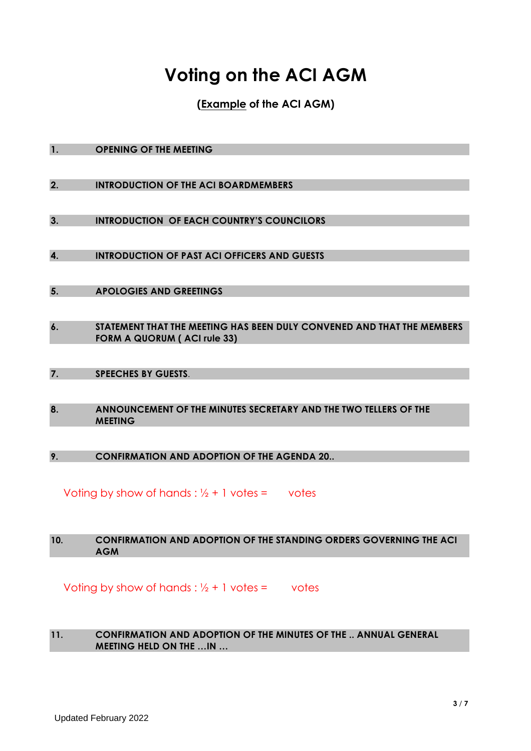# **Voting on the ACI AGM**

**(Example of the ACI AGM)**

| 1. | <b>OPENING OF THE MEETING</b> |
|----|-------------------------------|
|    |                               |

**2. INTRODUCTION OF THE ACI BOARDMEMBERS**

**3. INTRODUCTION OF EACH COUNTRY'S COUNCILORS**

**4. INTRODUCTION OF PAST ACI OFFICERS AND GUESTS**

- **5. APOLOGIES AND GREETINGS**
- **6. STATEMENT THAT THE MEETING HAS BEEN DULY CONVENED AND THAT THE MEMBERS FORM A QUORUM ( ACI rule 33)**
- **7. SPEECHES BY GUESTS**.
- **8. ANNOUNCEMENT OF THE MINUTES SECRETARY AND THE TWO TELLERS OF THE MEETING**

**9. CONFIRMATION AND ADOPTION OF THE AGENDA 20..**

Voting by show of hands :  $\frac{1}{2} + 1$  votes = votes

#### **10. CONFIRMATION AND ADOPTION OF THE STANDING ORDERS GOVERNING THE ACI AGM**

Voting by show of hands :  $\frac{1}{2}$  + 1 votes = votes

#### **11. CONFIRMATION AND ADOPTION OF THE MINUTES OF THE .. ANNUAL GENERAL MEETING HELD ON THE …IN …**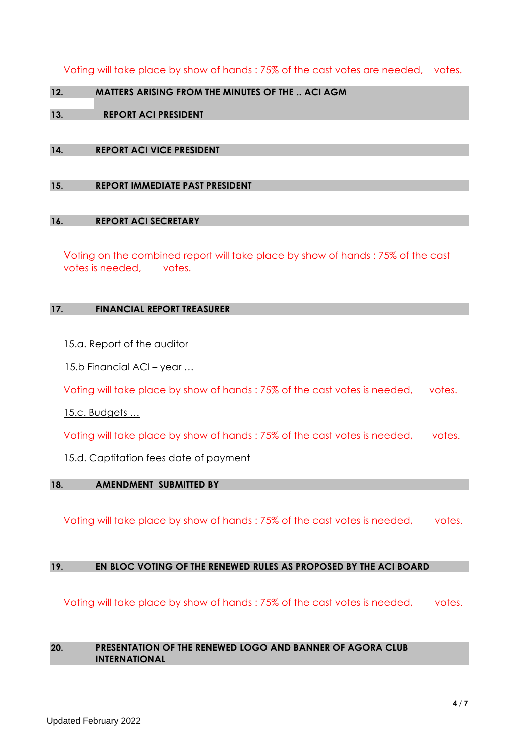Voting will take place by show of hands : 75% of the cast votes are needed, votes.

**12. MATTERS ARISING FROM THE MINUTES OF THE .. ACI AGM**

# **13. REPORT ACI PRESIDENT**

## **14. REPORT ACI VICE PRESIDENT**

**15. REPORT IMMEDIATE PAST PRESIDENT** 

#### **16. REPORT ACI SECRETARY**

Voting on the combined report will take place by show of hands : 75% of the cast votes is needed, votes.

#### **17. FINANCIAL REPORT TREASURER**

15.a. Report of the auditor

15.b Financial ACI – year ...

Voting will take place by show of hands : 75% of the cast votes is needed, votes.

15.c. Budgets …

Voting will take place by show of hands : 75% of the cast votes is needed, votes.

15.d. Captitation fees date of payment

#### **18. AMENDMENT SUBMITTED BY**

Voting will take place by show of hands : 75% of the cast votes is needed, votes.

#### **19. EN BLOC VOTING OF THE RENEWED RULES AS PROPOSED BY THE ACI BOARD**

Voting will take place by show of hands : 75% of the cast votes is needed, votes.

#### **20. PRESENTATION OF THE RENEWED LOGO AND BANNER OF AGORA CLUB INTERNATIONAL**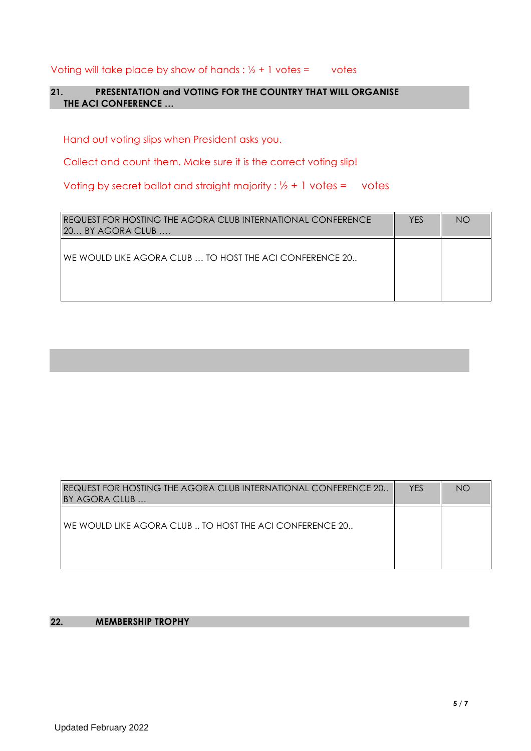Voting will take place by show of hands :  $\frac{1}{2} + 1$  votes = votes

# **21. PRESENTATION and VOTING FOR THE COUNTRY THAT WILL ORGANISE THE ACI CONFERENCE …**

Hand out voting slips when President asks you.

Collect and count them. Make sure it is the correct voting slip!

Voting by secret ballot and straight majority :  $\frac{1}{2} + 1$  votes = votes

| REQUEST FOR HOSTING THE AGORA CLUB INTERNATIONAL CONFERENCE<br>20 BY AGORA CLUB | <b>YES</b> | <b>NO</b> |
|---------------------------------------------------------------------------------|------------|-----------|
| WE WOULD LIKE AGORA CLUB  TO HOST THE ACI CONFERENCE 20                         |            |           |

| REQUEST FOR HOSTING THE AGORA CLUB INTERNATIONAL CONFERENCE 20<br>BY AGORA CLUB | <b>YES</b> | <b>NO</b> |
|---------------------------------------------------------------------------------|------------|-----------|
| WE WOULD LIKE AGORA CLUB  TO HOST THE ACI CONFERENCE 20                         |            |           |

# **22. MEMBERSHIP TROPHY**